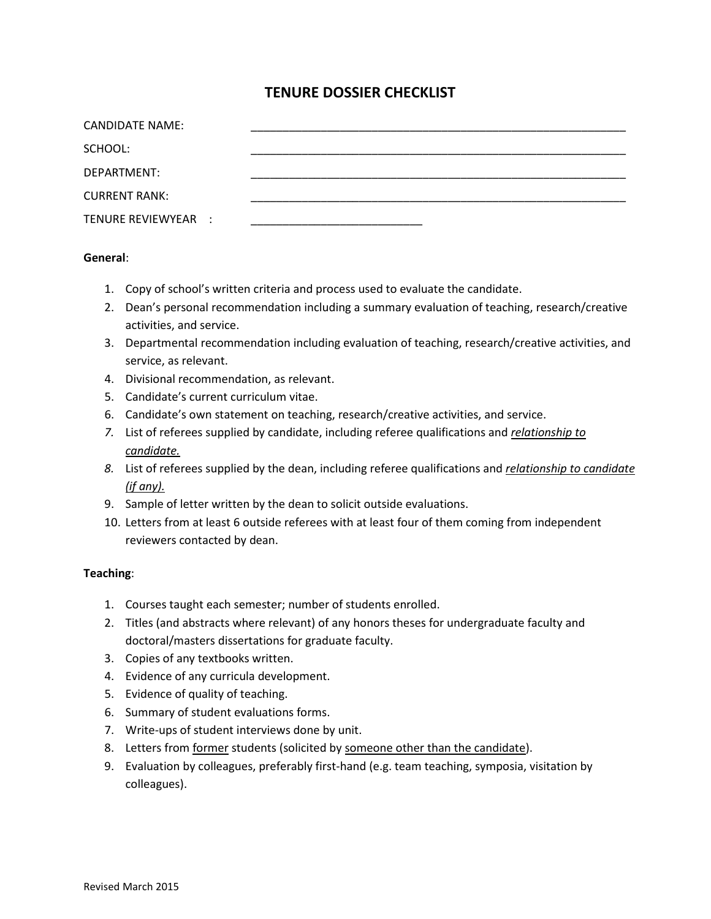# **TENURE DOSSIER CHECKLIST**

| CANDIDATE NAME:      |  |  |
|----------------------|--|--|
| SCHOOL:              |  |  |
| DEPARTMENT:          |  |  |
| <b>CURRENT RANK:</b> |  |  |
| TENURE REVIEWYEAR :  |  |  |

### **General**:

- 1. Copy of school's written criteria and process used to evaluate the candidate.
- 2. Dean's personal recommendation including a summary evaluation of teaching, research/creative activities, and service.
- 3. Departmental recommendation including evaluation of teaching, research/creative activities, and service, as relevant.
- 4. Divisional recommendation, as relevant.
- 5. Candidate's current curriculum vitae.
- 6. Candidate's own statement on teaching, research/creative activities, and service.
- *7.* List of referees supplied by candidate, including referee qualifications and *relationship to candidate.*
- *8.* List of referees supplied by the dean, including referee qualifications and *relationship to candidate (if any).*
- 9. Sample of letter written by the dean to solicit outside evaluations.
- 10. Letters from at least 6 outside referees with at least four of them coming from independent reviewers contacted by dean.

### **Teaching**:

- 1. Courses taught each semester; number of students enrolled.
- 2. Titles (and abstracts where relevant) of any honors theses for undergraduate faculty and doctoral/masters dissertations for graduate faculty.
- 3. Copies of any textbooks written.
- 4. Evidence of any curricula development.
- 5. Evidence of quality of teaching.
- 6. Summary of student evaluations forms.
- 7. Write-ups of student interviews done by unit.
- 8. Letters from former students (solicited by someone other than the candidate).
- 9. Evaluation by colleagues, preferably first-hand (e.g. team teaching, symposia, visitation by colleagues).